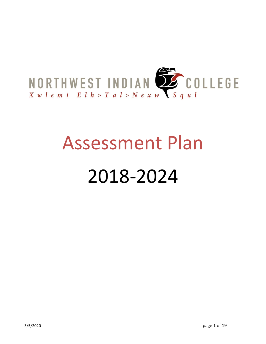

# Assessment Plan

# 2018-2024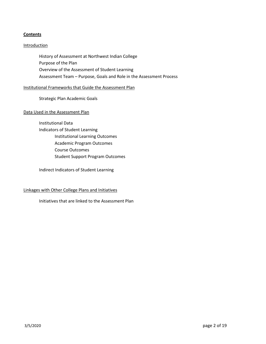# **Contents**

# **Introduction**

History of Assessment at Northwest Indian College Purpose of the Plan Overview of the Assessment of Student Learning Assessment Team – Purpose, Goals and Role in the Assessment Process

#### Institutional Frameworks that Guide the Assessment Plan

Strategic Plan Academic Goals

#### Data Used in the Assessment Plan

Institutional Data Indicators of Student Learning Institutional Learning Outcomes Academic Program Outcomes Course Outcomes Student Support Program Outcomes

Indirect Indicators of Student Learning

#### Linkages with Other College Plans and Initiatives

Initiatives that are linked to the Assessment Plan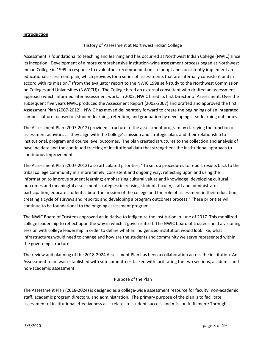#### **Introduction**

# History of Assessment at Northwest Indian College

Assessment is foundational to teaching and learning and has occurred at Northwest Indian College (NWIC) since its inception. Development of a more comprehensive institution-wide assessment process began at Northwest Indian College in 1999 in response to evaluators' recommendation "to adopt and consistently implement an educational assessment plan, which provides for a series of assessments that are internally consistent and in accord with its mission." (from the evaluator report to the NWIC 1998 self-study to the Northwest Commission on Colleges and Universities (NWCCU)). The College hired an external consultant who drafted an assessment approach which informed later assessment work. In 2002, NWIC hired its first Director of Assessment. Over the subsequent five years NWIC produced the Assessment Report (2002-2007) and drafted and approved the first Assessment Plan (2007-2012). NWIC has moved deliberately forward to create the beginnings of an integrated campus culture focused on student learning, retention, and graduation by developing clear learning outcomes.

The Assessment Plan (2007-2012) provided structure to the assessment program by clarifying the function of assessment activities as they align with the College's mission and strategic plan, and their relationship to institutional, program and course level outcomes. The plan created structures to the collection and analysis of baseline data and the continued tracking of institutional data that strengthens the institutional approach to continuous improvement.

The Assessment Plan (2007-2012) also articulated priorities, " to set up procedures to report results back to the tribal college community in a more timely, consistent and ongoing way; reflecting upon and using the information to improve student learning; emphasizing cultural values and knowledge; developing cultural outcomes and meaningful assessment strategies; increasing student, faculty, staff and administrator participation; educate students about the mission of the college and the role of assessment in their education; creating a cycle of surveys and reports; and developing a program outcomes process." These priorities will continue to be foundational to the ongoing assessment program.

The NWIC Board of Trustees approved an initiative to indigenize the institution in June of 2017. This mobilized college leadership to reflect upon the way in which it governs itself. The NWIC board of trustees held a visioning session with college leadership in order to define what an indigenized institution would look like, what infrastructures would need to change and how are the students and community we serve represented within the governing structure.

The review and planning of the 2018-2024 Assessment Plan has been a collaboration across the institution. An Assessment team was established with sub-committees tasked with facilitating the two sections, academic and non-academic assessment.

#### Purpose of the Plan

The Assessment Plan (2018-2024) is designed as a college-wide assessment resource for faculty, non-academic staff, academic program directors, and administration. The primary purpose of the plan is to facilitate assessment of institutional effectiveness as it relates to student success and mission fulfillment: Through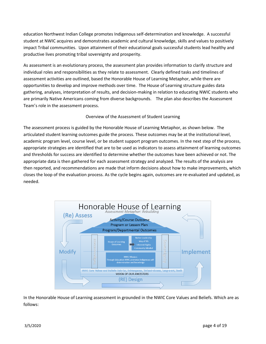education Northwest Indian College promotes Indigenous self-determination and knowledge. A successful student at NWIC acquires and demonstrates academic and cultural knowledge, skills and values to positively impact Tribal communities. Upon attainment of their educational goals successful students lead healthy and productive lives promoting tribal sovereignty and prosperity.

As assessment is an evolutionary process, the assessment plan provides information to clarify structure and individual roles and responsibilities as they relate to assessment. Clearly defined tasks and timelines of assessment activities are outlined, based the Honorable House of Learning Metaphor, while there are opportunities to develop and improve methods over time. The House of Learning structure guides data gathering, analyses, interpretation of results, and decision-making in relation to educating NWIC students who are primarily Native Americans coming from diverse backgrounds. The plan also describes the Assessment Team's role in the assessment process.

# Overview of the Assessment of Student Learning

The assessment process is guided by the Honorable House of Learning Metaphor, as shown below. The articulated student learning outcomes guide the process. These outcomes may be at the institutional level, academic program level, course level, or be student support program outcomes. In the next step of the process, appropriate strategies are identified that are to be used as indicators to assess attainment of learning outcomes and thresholds for success are identified to determine whether the outcomes have been achieved or not. The appropriate data is then gathered for each assessment strategy and analyzed. The results of the analysis are then reported, and recommendations are made that inform decisions about how to make improvements, which closes the loop of the evaluation process. As the cycle begins again, outcomes are re-evaluated and updated, as needed.



In the Honorable House of Learning assessment in grounded in the NWIC Core Values and Beliefs. Which are as follows: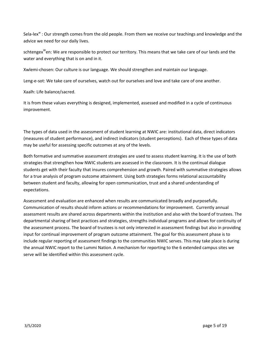Sela-lex<sup>w</sup> : Our strength comes from the old people. From them we receive our teachings and knowledge and the advice we need for our daily lives.

schtengex<sup>w</sup>en: We are responsible to protect our territory. This means that we take care of our lands and the water and everything that is on and in it.

Xwlemi-chosen: Our culture is our language. We should strengthen and maintain our language.

Leng-e-sot: We take care of ourselves, watch out for ourselves and love and take care of one another.

Xaalh: Life balance/sacred.

It is from these values everything is designed, implemented, assessed and modified in a cycle of continuous improvement.

The types of data used in the assessment of student learning at NWIC are: institutional data, direct indicators (measures of student performance), and indirect indicators (student perceptions). Each of these types of data may be useful for assessing specific outcomes at any of the levels.

Both formative and summative assessment strategies are used to assess student learning. It is the use of both strategies that strengthen how NWIC students are assessed in the classroom. It is the continual dialogue students get with their faculty that insures comprehension and growth. Paired with summative strategies allows for a true analysis of program outcome attainment. Using both strategies forms relational accountability between student and faculty, allowing for open communication, trust and a shared understanding of expectations.

Assessment and evaluation are enhanced when results are communicated broadly and purposefully. Communication of results should inform actions or recommendations for improvement. Currently annual assessment results are shared across departments within the institution and also with the board of trustees. The departmental sharing of best practices and strategies, strengths individual programs and allows for continuity of the assessment process. The board of trustees is not only interested in assessment findings but also in providing input for continual improvement of program outcome attainment. The goal for this assessment phase is to include regular reporting of assessment findings to the communities NWIC serves. This may take place is during the annual NWIC report to the Lummi Nation. A mechanism for reporting to the 6 extended campus sites we serve will be identified within this assessment cycle.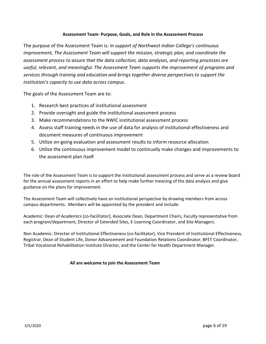# **Assessment Team- Purpose, Goals, and Role in the Assessment Process**

The purpose of the Assessment Team is*: In support of Northwest Indian College's continuous improvement, The Assessment Team will support the mission, strategic plan, and coordinate the assessment process to assure that the data collection, data analyses, and reporting processes are useful, relevant, and meaningful. The Assessment Team supports the improvement of programs and services through training and education and brings together diverse perspectives to support the institution's capacity to use data across campus.*

The goals of the Assessment Team are to:

- 1. Research best practices of institutional assessment
- 2. Provide oversight and guide the institutional assessment process
- 3. Make recommendations to the NWIC institutional assessment process
- 4. Assess staff training needs in the use of data for analysis of institutional effectiveness and document measures of continuous improvement
- 5. Utilize on-going evaluation and assessment results to inform resource allocation
- 6. Utilize the continuous improvement model to continually make changes and improvements to the assessment plan itself

The role of the Assessment Team is to support the institutional assessment process and serve as a review board for the annual assessment reports in an effort to help make further meaning of the data analysis and give guidance on the plans for improvement.

The Assessment Team will collectively have an institutional perspective by drawing members from across campus departments. Members will be appointed by the president and include:

Academic: Dean of Academics (co-facilitator), Associate Dean, Department Chairs, Faculty representative from each program/department, Director of Extended Sites, E-Learning Coordinator, and Site Managers.

Non Academic: Director of Institutional Effectiveness (co-facilitator), Vice President of Institutional Effectiveness, Registrar, Dean of Student Life, Donor Advancement and Foundation Relations Coordinator, BFET Coordinator, Tribal Vocational Rehabilitation Institute Director, and the Center for Health Department Manager.

# **All are welcome to join the Assessment Team**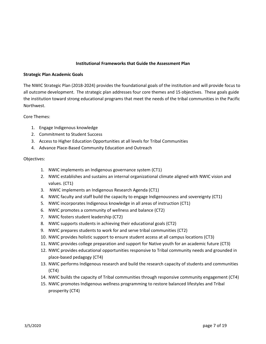# **Institutional Frameworks that Guide the Assessment Plan**

#### **Strategic Plan Academic Goals**

The NWIC Strategic Plan (2018-2024) provides the foundational goals of the institution and will provide focus to all outcome development. The strategic plan addresses four core themes and 15 objectives. These goals guide the institution toward strong educational programs that meet the needs of the tribal communities in the Pacific Northwest.

Core Themes:

- 1. Engage Indigenous knowledge
- 2. Commitment to Student Success
- 3. Access to Higher Education Opportunities at all levels for Tribal Communities
- 4. Advance Place-Based Community Education and Outreach

#### Objectives:

- 1. NWIC implements an Indigenous governance system (CT1)
- 2. NWIC establishes and sustains an internal organizational climate aligned with NWIC vision and values. (CT1)
- 3. NWIC implements an Indigenous Research Agenda (CT1)
- 4. NWIC faculty and staff build the capacity to engage Indigenousness and sovereignty (CT1)
- 5. NWIC incorporates Indigenous knowledge in all areas of instruction (CT1)
- 6. NWIC promotes a community of wellness and balance (CT2)
- 7. NWIC fosters student leadership (CT2)
- 8. NWIC supports students in achieving their educational goals (CT2)
- 9. NWIC prepares students to work for and serve tribal communities (CT2)
- 10. NWIC provides holistic support to ensure student access at all campus locations (CT3)
- 11. NWIC provides college preparation and support for Native youth for an academic future (CT3)
- 12. NWIC provides educational opportunities responsive to Tribal community needs and grounded in place-based pedagogy (CT4)
- 13. NWIC performs Indigenous research and build the research capacity of students and communities (CT4)
- 14. NWIC builds the capacity of Tribal communities through responsive community engagement (CT4)
- 15. NWIC promotes Indigenous wellness programming to restore balanced lifestyles and Tribal prosperity (CT4)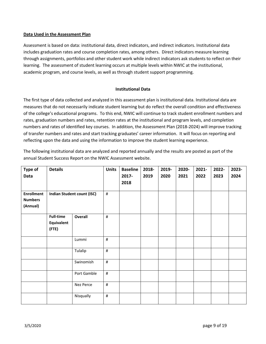# **Data Used in the Assessment Plan**

Assessment is based on data: institutional data, direct indicators, and indirect indicators. Institutional data includes graduation rates and course completion rates, among others. Direct indicators measure learning through assignments, portfolios and other student work while indirect indicators ask students to reflect on their learning. The assessment of student learning occurs at multiple levels within NWIC at the institutional, academic program, and course levels, as well as through student support programming.

# **Institutional Data**

The first type of data collected and analyzed in this assessment plan is institutional data. Institutional data are measures that do not necessarily indicate student learning but do reflect the overall condition and effectiveness of the college's educational programs. To this end, NWIC will continue to track student enrollment numbers and rates, graduation numbers and rates, retention rates at the institutional and program levels, and completion numbers and rates of identified key courses. In addition, the Assessment Plan (2018-2024) will improve tracking of transfer numbers and rates and start tracking graduates' career information. It will focus on reporting and reflecting upon the data and using the information to improve the student learning experience.

The following institutional data are analyzed and reported annually and the results are posted as part of the annual Student Success Report on the NWIC Assessment website.

| Type of           | <b>Details</b>   |                                   |      | <b>Baseline</b> | 2018- | 2019- | 2020- | 2021- | 2022- | 2023- |
|-------------------|------------------|-----------------------------------|------|-----------------|-------|-------|-------|-------|-------|-------|
| Data              |                  |                                   |      | 2017-           | 2019  | 2020  | 2021  | 2022  | 2023  | 2024  |
|                   |                  |                                   |      | 2018            |       |       |       |       |       |       |
| <b>Enrollment</b> |                  |                                   | $\#$ |                 |       |       |       |       |       |       |
| <b>Numbers</b>    |                  | <b>Indian Student count (ISC)</b> |      |                 |       |       |       |       |       |       |
| (Annual)          |                  |                                   |      |                 |       |       |       |       |       |       |
|                   |                  |                                   |      |                 |       |       |       |       |       |       |
|                   | <b>Full-time</b> | Overall                           | $\#$ |                 |       |       |       |       |       |       |
|                   | Equivalent       |                                   |      |                 |       |       |       |       |       |       |
|                   | (FTE)            |                                   |      |                 |       |       |       |       |       |       |
|                   |                  | Lummi                             | $\#$ |                 |       |       |       |       |       |       |
|                   |                  |                                   |      |                 |       |       |       |       |       |       |
|                   |                  | Tulalip                           | $\#$ |                 |       |       |       |       |       |       |
|                   |                  |                                   |      |                 |       |       |       |       |       |       |
|                   |                  | Swinomish                         | $\#$ |                 |       |       |       |       |       |       |
|                   |                  | Port Gamble                       | $\#$ |                 |       |       |       |       |       |       |
|                   |                  |                                   |      |                 |       |       |       |       |       |       |
|                   |                  | Nez Perce                         | $\#$ |                 |       |       |       |       |       |       |
|                   |                  |                                   |      |                 |       |       |       |       |       |       |
|                   |                  | Nisqually                         | $\#$ |                 |       |       |       |       |       |       |
|                   |                  |                                   |      |                 |       |       |       |       |       |       |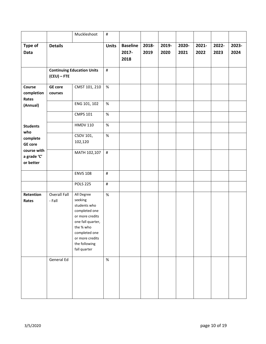|                                         |                           | Muckleshoot                                                                                                                                                                      | $\#$         |                                  |               |               |               |               |               |               |
|-----------------------------------------|---------------------------|----------------------------------------------------------------------------------------------------------------------------------------------------------------------------------|--------------|----------------------------------|---------------|---------------|---------------|---------------|---------------|---------------|
| Type of<br>Data                         | <b>Details</b>            |                                                                                                                                                                                  | <b>Units</b> | <b>Baseline</b><br>2017-<br>2018 | 2018-<br>2019 | 2019-<br>2020 | 2020-<br>2021 | 2021-<br>2022 | 2022-<br>2023 | 2023-<br>2024 |
|                                         | $(CEU) - FTE$             | <b>Continuing Education Units</b><br>$\#$                                                                                                                                        |              |                                  |               |               |               |               |               |               |
| Course<br>completion<br>Rates           | <b>GE</b> core<br>courses | CMST 101, 210                                                                                                                                                                    | $\%$         |                                  |               |               |               |               |               |               |
| (Annual)                                |                           | ENG 101, 102                                                                                                                                                                     | $\%$         |                                  |               |               |               |               |               |               |
|                                         |                           | <b>CMPS 101</b>                                                                                                                                                                  | $\%$         |                                  |               |               |               |               |               |               |
| <b>Students</b>                         |                           | <b>HMDV 110</b>                                                                                                                                                                  | $\%$         |                                  |               |               |               |               |               |               |
| who<br>complete<br><b>GE</b> core       |                           | CSOV 101,<br>102,120                                                                                                                                                             | $\%$         |                                  |               |               |               |               |               |               |
| course with<br>a grade 'C'<br>or better |                           | MATH 102,107                                                                                                                                                                     | $\#$         |                                  |               |               |               |               |               |               |
|                                         |                           | <b>ENVS 108</b>                                                                                                                                                                  | $\#$         |                                  |               |               |               |               |               |               |
|                                         |                           | <b>POLS 225</b>                                                                                                                                                                  | $\#$         |                                  |               |               |               |               |               |               |
| Retention<br>Rates                      | Overall Fall<br>- Fall    | All Degree<br>seeking<br>students who<br>completed one<br>or more credits<br>one fall quarter,<br>the % who<br>completed one<br>or more credits<br>the following<br>fall quarter | $\%$         |                                  |               |               |               |               |               |               |
|                                         | General Ed                |                                                                                                                                                                                  | $\%$         |                                  |               |               |               |               |               |               |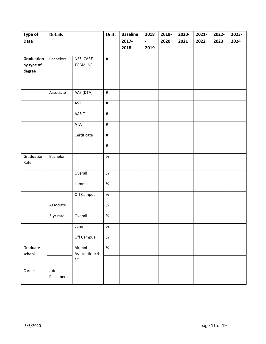| Type of    | <b>Details</b>   |               | <b>Units</b> | <b>Baseline</b> | 2018                     | 2019- | 2020- | 2021- | 2022- | 2023- |
|------------|------------------|---------------|--------------|-----------------|--------------------------|-------|-------|-------|-------|-------|
| Data       |                  |               |              | 2017-           | $\overline{\phantom{a}}$ | 2020  | 2021  | 2022  | 2023  | 2024  |
|            |                  |               |              | 2018            | 2019                     |       |       |       |       |       |
|            |                  |               |              |                 |                          |       |       |       |       |       |
| Graduation | <b>Bachelors</b> | NES, CARE,    | $\#$         |                 |                          |       |       |       |       |       |
| by type of |                  | TGBM, NSL     |              |                 |                          |       |       |       |       |       |
| degree     |                  |               |              |                 |                          |       |       |       |       |       |
|            |                  |               |              |                 |                          |       |       |       |       |       |
|            |                  |               |              |                 |                          |       |       |       |       |       |
|            | Associate        | AAS (DTA)     | $\#$         |                 |                          |       |       |       |       |       |
|            |                  | AST           | $\#$         |                 |                          |       |       |       |       |       |
|            |                  |               |              |                 |                          |       |       |       |       |       |
|            |                  | AAS-T         | $\#$         |                 |                          |       |       |       |       |       |
|            |                  | ATA           | $\#$         |                 |                          |       |       |       |       |       |
|            |                  |               |              |                 |                          |       |       |       |       |       |
|            |                  | Certificate   | $\#$         |                 |                          |       |       |       |       |       |
|            |                  |               | $\#$         |                 |                          |       |       |       |       |       |
|            |                  |               |              |                 |                          |       |       |       |       |       |
| Graduation | Bachelor         |               | $\%$         |                 |                          |       |       |       |       |       |
| Rate       |                  |               |              |                 |                          |       |       |       |       |       |
|            |                  | Overall       | $\%$         |                 |                          |       |       |       |       |       |
|            |                  |               |              |                 |                          |       |       |       |       |       |
|            |                  | Lummi         | $\%$         |                 |                          |       |       |       |       |       |
|            |                  |               |              |                 |                          |       |       |       |       |       |
|            |                  | Off Campus    | $\%$         |                 |                          |       |       |       |       |       |
|            | Associate        |               | $\%$         |                 |                          |       |       |       |       |       |
|            |                  |               |              |                 |                          |       |       |       |       |       |
|            | 3-yr rate        | Overall       | $\%$         |                 |                          |       |       |       |       |       |
|            |                  | Lummi         | $\%$         |                 |                          |       |       |       |       |       |
|            |                  |               |              |                 |                          |       |       |       |       |       |
|            |                  | Off Campus    | $\%$         |                 |                          |       |       |       |       |       |
| Graduate   |                  | Alumni        | $\%$         |                 |                          |       |       |       |       |       |
| school     |                  | Association/N |              |                 |                          |       |       |       |       |       |
|            |                  | ${\sf SC}$    |              |                 |                          |       |       |       |       |       |
|            |                  |               |              |                 |                          |       |       |       |       |       |
| Career     | Job              |               |              |                 |                          |       |       |       |       |       |
|            | Placement        |               |              |                 |                          |       |       |       |       |       |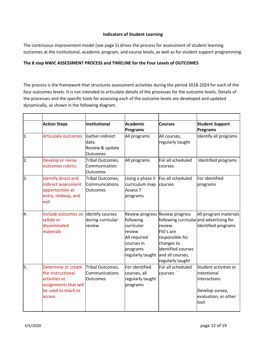# **Indicators of Student Learning**

The continuous improvement model (see page 5) drives the process for assessment of student learning outcomes at the institutional, academic program, and course levels, as well as for student support programming.

# **The 8 step NWIC ASSESSMENT PROCESS and TIMELINE for the Four Levels of OUTCOMES**

The process is the framework that structures assessment activities during the period 2018-2024 for each of the four outcomes levels. It is not intended to articulate details of the processes for the outcome levels. Details of the processes and the specific tools for assessing each of the outcome levels are developed and updated dynamically, as shown in the following diagram.

|                  | <b>Action Steps</b>                                                                                                 | Institutional                                                  | Academic<br><b>Programs</b>                                                                                        | <b>Courses</b>                                                                                                                         | <b>Student Support</b><br>Programs                                                                      |
|------------------|---------------------------------------------------------------------------------------------------------------------|----------------------------------------------------------------|--------------------------------------------------------------------------------------------------------------------|----------------------------------------------------------------------------------------------------------------------------------------|---------------------------------------------------------------------------------------------------------|
| $\overline{1}$ . | <b>Articulate outcomes</b>                                                                                          | Gather indirect<br>data.<br>Review & update<br><b>Outcomes</b> | All programs                                                                                                       | All courses,<br>regularly taught                                                                                                       | Identify all programs                                                                                   |
| 2.               | Develop or revise<br>outcomes rubrics                                                                               | Tribal Outcomes,<br>Communication<br><b>Outcomes</b>           | All programs                                                                                                       | For all scheduled<br>courses                                                                                                           | Identified programs                                                                                     |
| 3.               | Identify direct and<br>indirect assessment<br>opportunities at<br>entry, midway, and<br>exit                        | Tribal Outcomes,<br>Communications<br><b>Outcomes</b>          | Using a phase II<br>curriculum map<br>Assess 7<br>programs                                                         | For all scheduled<br>courses                                                                                                           | For identified<br>programs                                                                              |
| 4.               | Include outcomes on Identify courses<br>syllabi or<br>disseminated<br>materials                                     | during curricular<br>review                                    | Review progress<br>following<br>curricular<br>review<br>All required<br>courses in<br>programs<br>regularly taught | Review progress<br>review.<br>FIG's are<br>responsible for<br>changes to<br>identified courses<br>and all courses,<br>regularly taught | All program materials<br>following curricular and advertising for<br>identified programs                |
| 5.               | Determine or create<br>the instructional<br>activities or<br>assignments that will<br>be used to teach or<br>access | Tribal Outcomes,<br>Communications<br><b>Outcomes</b>          | For identified<br>courses, all<br>regularly taught<br>programs                                                     | For all scheduled<br>courses                                                                                                           | Student activities or<br>intentional<br>interactions<br>Develop survey,<br>evaluation, or other<br>tool |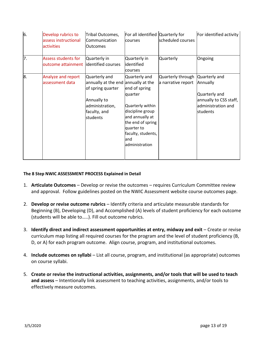| 6. | Develop rubrics to<br>assess instructional<br>activities | Tribal Outcomes,<br>Communication<br><b>Outcomes</b>                                                                                    | For all identified Quarterly for<br>courses                                                                                                                                             | scheduled courses                       | For identified activity                                                                                |
|----|----------------------------------------------------------|-----------------------------------------------------------------------------------------------------------------------------------------|-----------------------------------------------------------------------------------------------------------------------------------------------------------------------------------------|-----------------------------------------|--------------------------------------------------------------------------------------------------------|
| 7. | <b>Assess students for</b><br>outcome attainment         | Quarterly in<br>identified courses                                                                                                      | Quarterly in<br>identified<br><b>courses</b>                                                                                                                                            | <b>Quarterly</b>                        | Ongoing                                                                                                |
| 8. | Analyze and report<br>assessment data                    | Quarterly and<br>annually at the end annually at the<br>of spring quarter<br>Annually to<br>administration,<br>faculty, and<br>students | Quarterly and<br>end of spring<br>quarter<br>Quarterly within<br>discipline group<br>and annually at<br>the end of spring<br>quarter to<br>faculty, students,<br>land<br>administration | Quarterly through<br>a narrative report | Quarterly and<br>Annually<br>Quarterly and<br>annually to CSS staff,<br>administration and<br>students |

# **The 8 Step NWIC ASSESSMENT PROCESS Explained in Detail**

- 1. **Articulate Outcomes** Develop or revise the outcomes requires Curriculum Committee review and approval. Follow guidelines posted on the NWIC Assessment website course outcomes page.
- 2. **Develop or revise outcome rubrics** Identify criteria and articulate measurable standards for Beginning (B), Developing (D), and Accomplished (A) levels of student proficiency for each outcome (students will be able to…..). Fill out outcome rubrics.
- 3. **Identify direct and indirect assessment opportunities at entry, midway and exit** Create or revise curriculum map listing all required courses for the program and the level of student proficiency (B, D, or A) for each program outcome. Align course, program, and institutional outcomes.
- 4. **Include outcomes on syllabi** List all course, program, and institutional (as appropriate) outcomes on course syllabi.
- 5. **Create or revise the instructional activities, assignments, and/or tools that will be used to teach and assess** – Intentionally link assessment to teaching activities, assignments, and/or tools to effectively measure outcomes.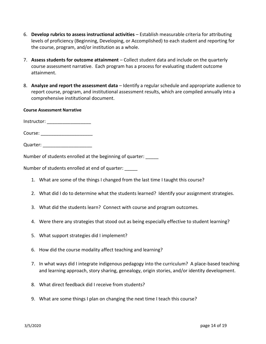- 6. **Develop rubrics to assess instructional activities** Establish measurable criteria for attributing levels of proficiency (Beginning, Developing, or Accomplished) to each student and reporting for the course, program, and/or institution as a whole.
- 7. **Assess students for outcome attainment**  Collect student data and include on the quarterly course assessment narrative. Each program has a process for evaluating student outcome attainment.
- 8. **Analyze and report the assessment data**  Identify a regular schedule and appropriate audience to report course, program, and institutional assessment results, which are compiled annually into a comprehensive institutional document.

# **Course Assessment Narrative**

Instructor: \_\_\_\_\_\_\_\_\_\_\_\_\_\_\_\_\_

Course: \_\_\_\_\_\_\_\_\_\_\_\_\_\_\_\_\_\_\_\_

Quarter: **Quarter:** 

Number of students enrolled at the beginning of quarter:

Number of students enrolled at end of quarter:

- 1. What are some of the things I changed from the last time I taught this course?
- 2. What did I do to determine what the students learned? Identify your assignment strategies.
- 3. What did the students learn? Connect with course and program outcomes.
- 4. Were there any strategies that stood out as being especially effective to student learning?
- 5. What support strategies did I implement?
- 6. How did the course modality affect teaching and learning?
- 7. In what ways did I integrate indigenous pedagogy into the curriculum? A place-based teaching and learning approach, story sharing, genealogy, origin stories, and/or identity development.
- 8. What direct feedback did I receive from students?
- 9. What are some things I plan on changing the next time I teach this course?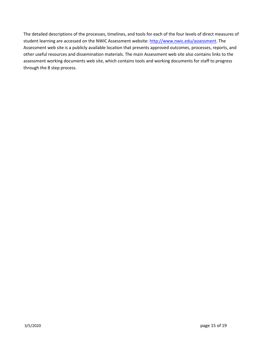The detailed descriptions of the processes, timelines, and tools for each of the four levels of direct measures of student learning are accessed on the NWIC Assessment website[: http://www.nwic.edu/assessment.](http://www.nwic.edu/assessment) The Assessment web site is a publicly available location that presents approved outcomes, processes, reports, and other useful resources and dissemination materials. The main Assessment web site also contains links to the assessment working documents web site, which contains tools and working documents for staff to progress through the 8 step process.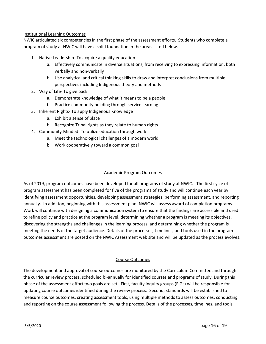# Institutional Learning Outcomes

NWIC articulated six competencies in the first phase of the assessment efforts. Students who complete a program of study at NWIC will have a solid foundation in the areas listed below.

- 1. Native Leadership- To acquire a quality education
	- a. Effectively communicate in diverse situations, from receiving to expressing information, both verbally and non-verbally
	- b. Use analytical and critical thinking skills to draw and interpret conclusions from multiple perspectives including Indigenous theory and methods
- 2. Way of Life- To give back
	- a. Demonstrate knowledge of what it means to be a people
	- b. Practice community building through service learning
- 3. Inherent Rights- To apply Indigenous Knowledge
	- a. Exhibit a sense of place
	- b. Recognize Tribal rights as they relate to human rights
- 4. Community-Minded- To utilize education through work
	- a. Meet the technological challenges of a modern world
	- b. Work cooperatively toward a common goal

# Academic Program Outcomes

As of 2019, program outcomes have been developed for all programs of study at NWIC. The first cycle of program assessment has been completed for five of the programs of study and will continue each year by identifying assessment opportunities, developing assessment strategies, performing assessment, and reporting annually. In addition, beginning with this assessment plan, NWIC will assess award of completion programs. Work will continue with designing a communication system to ensure that the findings are accessible and used to refine policy and practice at the program level, determining whether a program is meeting its objectives, discovering the strengths and challenges in the learning process, and determining whether the program is meeting the needs of the target audience. Details of the processes, timelines, and tools used in the program outcomes assessment are posted on the NWIC Assessment web site and will be updated as the process evolves.

# Course Outcomes

The development and approval of course outcomes are monitored by the Curriculum Committee and through the curricular review process, scheduled bi-annually for identified courses and programs of study. During this phase of the assessment effort two goals are set. First, faculty inquiry groups (FIGs) will be responsible for updating course outcomes identified during the review process. Second, standards will be established to measure course outcomes, creating assessment tools, using multiple methods to assess outcomes, conducting and reporting on the course assessment following the process. Details of the processes, timelines, and tools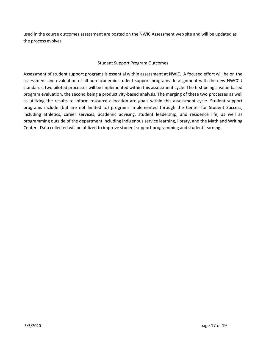used in the course outcomes assessment are posted on the NWIC Assessment web site and will be updated as the process evolves.

# Student Support Program Outcomes

Assessment of student support programs is essential within assessment at NWIC. A focused effort will be on the assessment and evaluation of all non-academic student support programs. In alignment with the new NWCCU standards, two piloted processes will be implemented within this assessment cycle. The first being a value-based program evaluation, the second being a productivity-based analysis. The merging of these two processes as well as utilizing the results to inform resource allocation are goals within this assessment cycle. Student support programs include (but are not limited to) programs implemented through the Center for Student Success, including athletics, career services, academic advising, student leadership, and residence life, as well as programming outside of the department including indigenous service learning, library, and the Math and Writing Center. Data collected will be utilized to improve student support programming and student learning.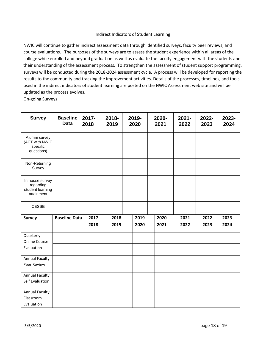#### Indirect Indicators of Student Learning

NWIC will continue to gather indirect assessment data through identified surveys, faculty peer reviews, and course evaluations. The purposes of the surveys are to assess the student experience within all areas of the college while enrolled and beyond graduation as well as evaluate the faculty engagement with the students and their understanding of the assessment process. To strengthen the assessment of student support programming, surveys will be conducted during the 2018-2024 assessment cycle. A process will be developed for reporting the results to the community and tracking the improvement activities. Details of the processes, timelines, and tools used in the indirect indicators of student learning are posted on the NWIC Assessment web site and will be updated as the process evolves.

On-going Surveys

| <b>Survey</b>                                                  | <b>Baseline</b><br><b>Data</b> | 2017-<br>2018 | 2018-<br>2019 | 2019-<br>2020 | 2020-<br>2021 | $2021 -$<br>2022 | 2022-<br>2023 | 2023-<br>2024 |
|----------------------------------------------------------------|--------------------------------|---------------|---------------|---------------|---------------|------------------|---------------|---------------|
| Alumni survey<br>(ACT with NWIC<br>specific<br>questions)      |                                |               |               |               |               |                  |               |               |
| Non-Returning<br>Survey                                        |                                |               |               |               |               |                  |               |               |
| In house survey<br>regarding<br>student learning<br>attainment |                                |               |               |               |               |                  |               |               |
| <b>CESSE</b>                                                   |                                |               |               |               |               |                  |               |               |
| <b>Survey</b>                                                  | <b>Baseline Data</b>           | 2017-<br>2018 | 2018-<br>2019 | 2019-<br>2020 | 2020-<br>2021 | 2021-<br>2022    | 2022-<br>2023 | 2023-<br>2024 |
| Quarterly                                                      |                                |               |               |               |               |                  |               |               |
| <b>Online Course</b>                                           |                                |               |               |               |               |                  |               |               |
| Evaluation                                                     |                                |               |               |               |               |                  |               |               |
| <b>Annual Faculty</b>                                          |                                |               |               |               |               |                  |               |               |
| Peer Review                                                    |                                |               |               |               |               |                  |               |               |
| <b>Annual Faculty</b>                                          |                                |               |               |               |               |                  |               |               |
| Self Evaluation                                                |                                |               |               |               |               |                  |               |               |
| <b>Annual Faculty</b>                                          |                                |               |               |               |               |                  |               |               |
| Classroom                                                      |                                |               |               |               |               |                  |               |               |
| Evaluation                                                     |                                |               |               |               |               |                  |               |               |